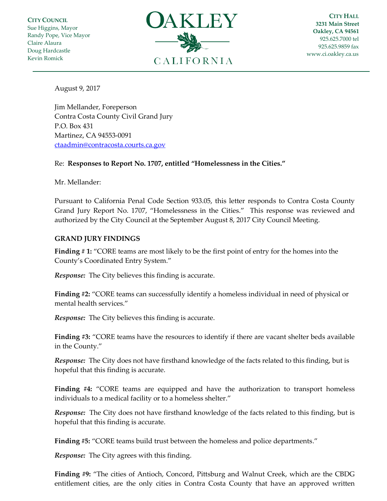**CITY COUNCIL** Sue Higgins, Mayor Randy Pope, Vice Mayor Claire Alaura Doug Hardcastle Kevin Romick



**CITY HALL 3231 Main Street Oakley, CA 94561** 925.625.7000 tel 925.625.9859 fax [www.ci.oakley.ca.us](http://www.ci.oakley.ca.us/)

August 9, 2017

Jim Mellander, Foreperson Contra Costa County Civil Grand Jury P.O. Box 431 Martinez, CA 94553-0091 [ctaadmin@contracosta.courts.ca.gov](mailto:ctaadmin@contracosta.courts.ca.gov)

## Re: **Responses to Report No. 1707, entitled "Homelessness in the Cities."**

Mr. Mellander:

Pursuant to California Penal Code Section 933.05, this letter responds to Contra Costa County Grand Jury Report No. 1707, "Homelessness in the Cities." This response was reviewed and authorized by the City Council at the September August 8, 2017 City Council Meeting.

## **GRAND JURY FINDINGS**

**Finding # 1:** "CORE teams are most likely to be the first point of entry for the homes into the County's Coordinated Entry System."

*Response:* The City believes this finding is accurate.

**Finding #2:** "CORE teams can successfully identify a homeless individual in need of physical or mental health services."

*Response:* The City believes this finding is accurate.

**Finding #3:** "CORE teams have the resources to identify if there are vacant shelter beds available in the County."

*Response:* The City does not have firsthand knowledge of the facts related to this finding, but is hopeful that this finding is accurate.

**Finding #4:** "CORE teams are equipped and have the authorization to transport homeless individuals to a medical facility or to a homeless shelter."

*Response:* The City does not have firsthand knowledge of the facts related to this finding, but is hopeful that this finding is accurate.

**Finding #5:** "CORE teams build trust between the homeless and police departments."

*Response:* The City agrees with this finding.

**Finding #9:** "The cities of Antioch, Concord, Pittsburg and Walnut Creek, which are the CBDG entitlement cities, are the only cities in Contra Costa County that have an approved written